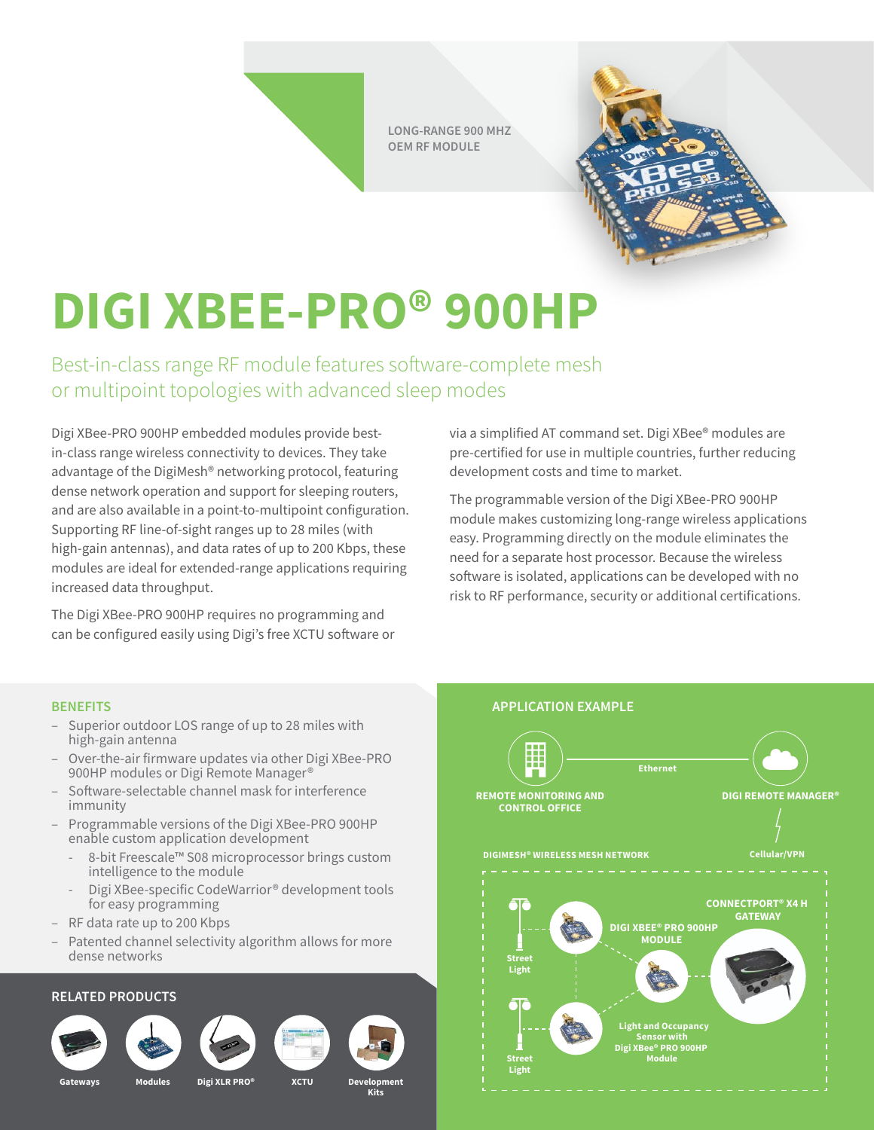**LONG-RANGE 900 MHZ OEM RF MODULE**



# **DIGI XBEE-PRO® 900HP**

Best-in-class range RF module features software-complete mesh or multipoint topologies with advanced sleep modes

Digi XBee-PRO 900HP embedded modules provide bestin-class range wireless connectivity to devices. They take advantage of the DigiMesh® networking protocol, featuring dense network operation and support for sleeping routers, and are also available in a point-to-multipoint configuration. Supporting RF line-of-sight ranges up to 28 miles (with high-gain antennas), and data rates of up to 200 Kbps, these modules are ideal for extended-range applications requiring increased data throughput.

The Digi XBee-PRO 900HP requires no programming and can be configured easily using Digi's free XCTU software or via a simplified AT command set. Digi XBee® modules are pre-certified for use in multiple countries, further reducing development costs and time to market.

The programmable version of the Digi XBee-PRO 900HP module makes customizing long-range wireless applications easy. Programming directly on the module eliminates the need for a separate host processor. Because the wireless software is isolated, applications can be developed with no risk to RF performance, security or additional certifications.

- Superior outdoor LOS range of up to 28 miles with high-gain antenna
- Over-the-air firmware updates via other Digi XBee-PRO 900HP modules or Digi Remote Manager®
- Software-selectable channel mask for interference immunity
- Programmable versions of the Digi XBee-PRO 900HP enable custom application development
	- 8-bit Freescale™ S08 microprocessor brings custom intelligence to the module
	- Digi XBee-specific CodeWarrior® development tools for easy programming
- RF data rate up to 200 Kbps
- Patented channel selectivity algorithm allows for more dense networks

### **RELATED PRODUCTS**













**Gateways Modules Digi XLR PRO® XCTU Development** 

**Kits**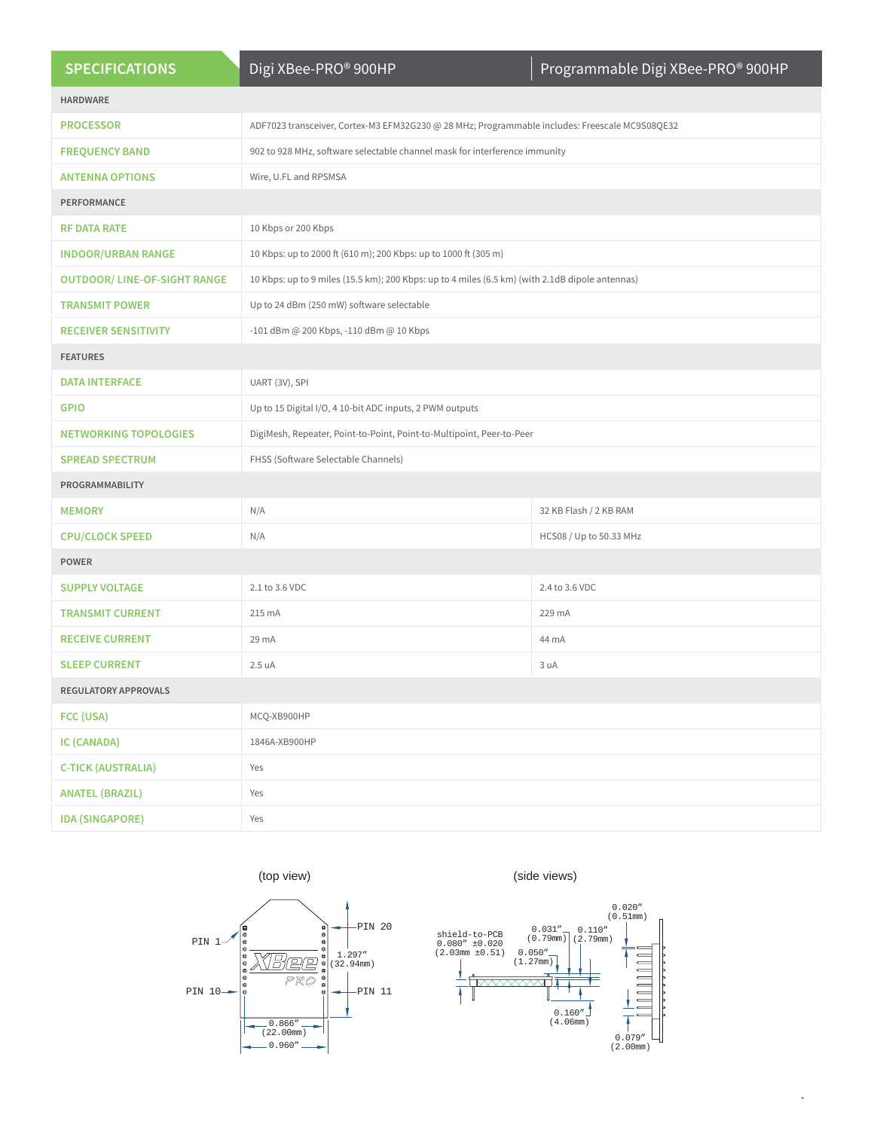| <b>SPECIFICATIONS</b>               | Digi XBee-PRO® 900HP                                                                            | Programmable Digi XBee-PRO® 900HP |
|-------------------------------------|-------------------------------------------------------------------------------------------------|-----------------------------------|
| <b>HARDWARE</b>                     |                                                                                                 |                                   |
| <b>PROCESSOR</b>                    | ADF7023 transceiver, Cortex-M3 EFM32G230 @ 28 MHz; Programmable includes: Freescale MC9S08QE32  |                                   |
| <b>FREQUENCY BAND</b>               | 902 to 928 MHz, software selectable channel mask for interference immunity                      |                                   |
| <b>ANTENNA OPTIONS</b>              | Wire, U.FL and RPSMSA                                                                           |                                   |
| PERFORMANCE                         |                                                                                                 |                                   |
| <b>RF DATA RATE</b>                 | 10 Kbps or 200 Kbps                                                                             |                                   |
| <b>INDOOR/URBAN RANGE</b>           | 10 Kbps: up to 2000 ft (610 m); 200 Kbps: up to 1000 ft (305 m)                                 |                                   |
| <b>OUTDOOR/ LINE-OF-SIGHT RANGE</b> | 10 Kbps: up to 9 miles (15.5 km); 200 Kbps: up to 4 miles (6.5 km) (with 2.1dB dipole antennas) |                                   |
| <b>TRANSMIT POWER</b>               | Up to 24 dBm (250 mW) software selectable                                                       |                                   |
| <b>RECEIVER SENSITIVITY</b>         | -101 dBm @ 200 Kbps, -110 dBm @ 10 Kbps                                                         |                                   |
| <b>FEATURES</b>                     |                                                                                                 |                                   |
| <b>DATA INTERFACE</b>               | UART (3V), SPI                                                                                  |                                   |
| <b>GPIO</b>                         | Up to 15 Digital I/O, 4 10-bit ADC inputs, 2 PWM outputs                                        |                                   |
| <b>NETWORKING TOPOLOGIES</b>        | DigiMesh, Repeater, Point-to-Point, Point-to-Multipoint, Peer-to-Peer                           |                                   |
| <b>SPREAD SPECTRUM</b>              | FHSS (Software Selectable Channels)                                                             |                                   |
| PROGRAMMABILITY                     |                                                                                                 |                                   |
| <b>MEMORY</b>                       | N/A                                                                                             | 32 KB Flash / 2 KB RAM            |
| <b>CPU/CLOCK SPEED</b>              | N/A                                                                                             | HCS08 / Up to 50.33 MHz           |
| <b>POWER</b>                        |                                                                                                 |                                   |
| <b>SUPPLY VOLTAGE</b>               | 2.1 to 3.6 VDC                                                                                  | 2.4 to 3.6 VDC                    |
| <b>TRANSMIT CURRENT</b>             | 215 mA                                                                                          | 229 mA                            |
| <b>RECEIVE CURRENT</b>              | 29 mA                                                                                           | 44 mA                             |
| <b>SLEEP CURRENT</b>                | 2.5 uA                                                                                          | 3 uA                              |
| REGULATORY APPROVALS                |                                                                                                 |                                   |
| FCC (USA)                           | MCQ-XB900HP                                                                                     |                                   |
| IC (CANADA)                         | 1846A-XB900HP                                                                                   |                                   |
| <b>C-TICK (AUSTRALIA)</b>           | Yes                                                                                             |                                   |
| <b>ANATEL (BRAZIL)</b>              | Yes                                                                                             |                                   |
| <b>IDA (SINGAPORE)</b>              | Yes                                                                                             |                                   |





 $\bar{\delta}$